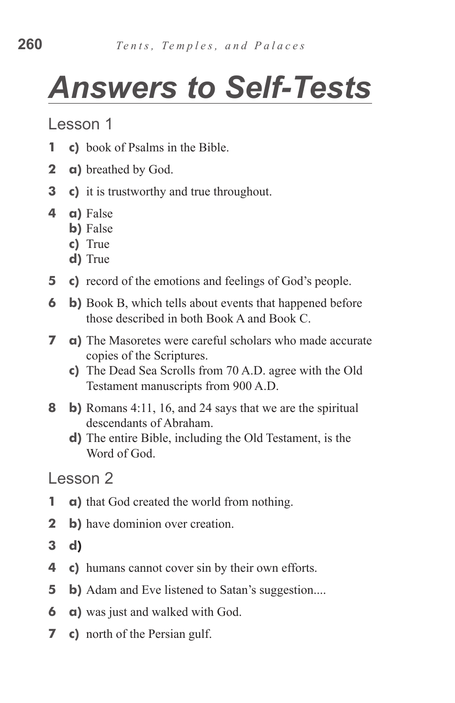## *Answers to Self-Tests*

Lesson 1

- **1** c) book of Psalms in the Bible.
- **2 a)** breathed by God.
- **3** c) it is trustworthy and true throughout.
- **4 a)** False
	- **b**) False
	- **c)**  True
	- d) True
- **5** c) record of the emotions and feelings of God's people.
- **6 b**) Book B, which tells about events that happened before those described in both Book A and Book C.
- **7 a**) The Masoretes were careful scholars who made accurate copies of the Scriptures.
	- **c)**  The Dead Sea Scrolls from 70 A.D. agree with the Old Testament manuscripts from 900 A.D.
- **8 b)** Romans 4:11, 16, and 24 says that we are the spiritual descendants of Abraham.
	- **d**) The entire Bible, including the Old Testament, is the Word of God.

- **1 a**) that God created the world from nothing.
- **2 b**) have dominion over creation.
- **3 d)**
- **4 c)** humans cannot cover sin by their own efforts.
- **5 b**) Adam and Eve listened to Satan's suggestion....
- **6 a**) was just and walked with God.
- **7** c) north of the Persian gulf.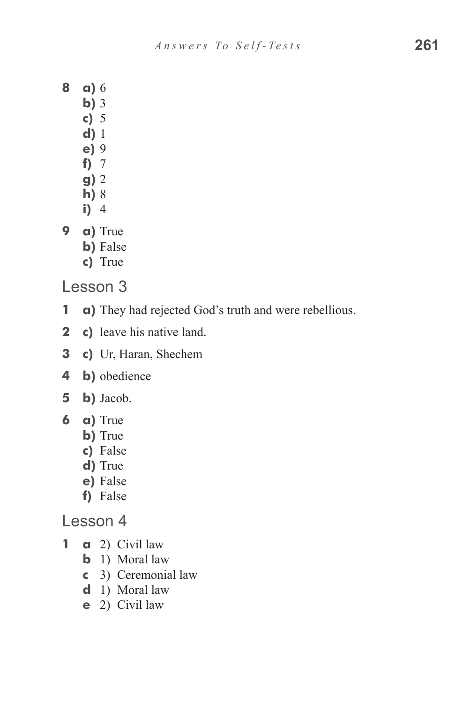- **8 a)** 6
	- **b)** 3
		- **c)**  5
	- **d)** 1
	- **e)** 9
	- **f)**  7
	- **g)** 2
	- **h)** 8
	- **i)**  4
- **9 a)** True
	- **b**) False
	- **c)**  True

Lesson 3

- **1 a)** They had rejected God's truth and were rebellious.
- **2** c) leave his native land.
- **3 c)** Ur, Haran, Shechem
- **4 b)** obedience
- **5 b)** Jacob.
- **6 a)** True
	- **b**) True
	- **c)**  False
	- d) True
	- **e)** False
	- f) False

- **1 a** 2) Civil law
	- **b** 1) Moral law
	- **c**  3) Ceremonial law
	- **d**  1) Moral law
	- **e**  2) Civil law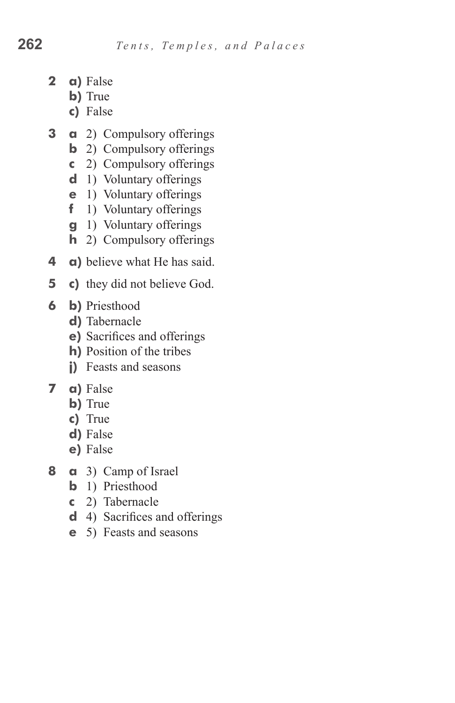- **2 a)** False
	- **b**) True
	- **c)**  False
- **3 a** 2) Compulsory offerings
	- **b** 2) Compulsory offerings
	- **c**  2) Compulsory offerings
	- **d** 1) Voluntary offerings
	- **e** 1) Voluntary offerings
	- **f** 1) Voluntary offerings
	- **g** 1) Voluntary offerings
	- **h** 2) Compulsory offerings
- **4 a)** believe what He has said.
- **5** c) they did not believe God.
- **6 b)** Priesthood
	- d) Tabernacle
	- **e)** Sacrifices and offerings
	- **h**) Position of the tribes
	- **j)** Feasts and seasons
- **7 a)** False
	- **b**) True
	- **c)**  True
	- **d)** False
	- **e)** False
- **8 a** 3) Camp of Israel
	- **b** 1) Priesthood
	- **c**  2) Tabernacle
	- **d**  4) Sacrifices and offerings
	- **e**  5) Feasts and seasons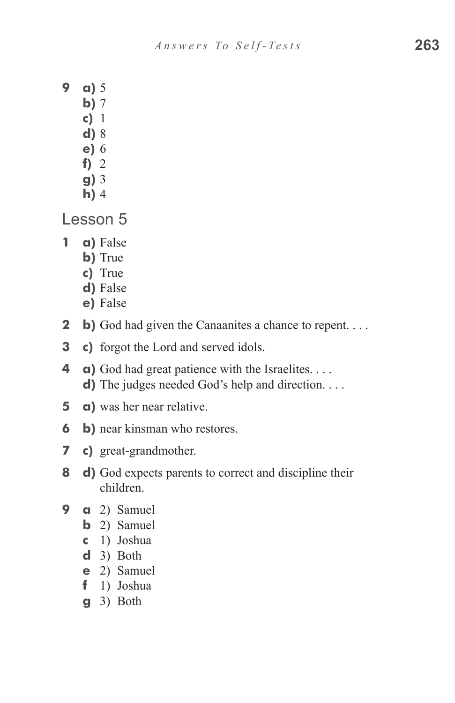- **9 a)** 5
	- **b**) 7
	- **c)**  1
	- **d)** 8
	- **e)** 6
	- f)  $2$
	- **g)** 3 **h**) 4
- Lesson 5
- **1 a)** False
	- **b**) True
	- **c)**  True
	- d) False
	- **e)** False
- **2 b**) God had given the Canaanites a chance to repent. . . .
- **3** c) forgot the Lord and served idols.
- **4 a)** God had great patience with the Israelites. . . . **d**) The judges needed God's help and direction. . . .
- **5 a**) was her near relative.
- **6 b**) near kinsman who restores.
- **7 c)** great-grandmother.
- **8 d)** God expects parents to correct and discipline their children.
- **9 a** 2) Samuel
	- **b** 2) Samuel
	- **c**  1) Joshua
	- **d**  3) Both
	- **e**  2) Samuel
	- **f**  1) Joshua
	- **g**  3) Both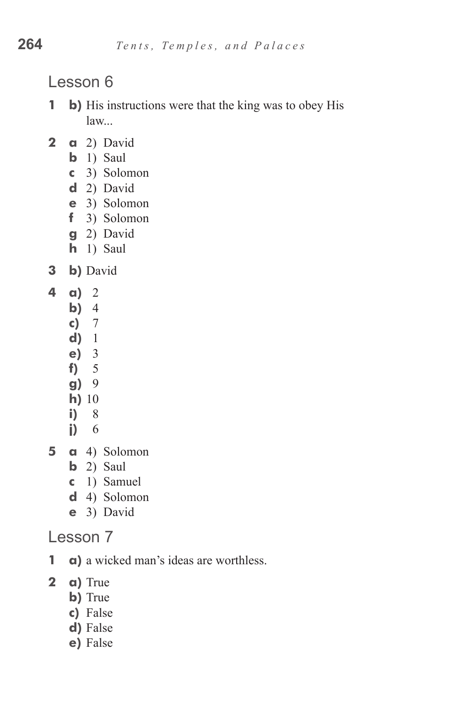Lesson 6

- **1 b**) His instructions were that the king was to obey His law...
- **2 a** 2) David
	- **b** 1) Saul
	- **c**  3) Solomon
	- **d**  2) David
	- **e**  3) Solomon
	- **f**  3) Solomon
	- **g**  2) David
	- **h** 1) Saul
- **3 b)** David
- **4 a)** 2
	- **b**) 4
	- **c)**  7
	- **d)**  1
	- **e)**  3
	- **f)**  5
	- **g)**  9
	- **h)** 10
	- **i)**  8
	- **j)**  6
- **5 a** 4) Solomon
	- **b** 2) Saul
	- **c**  1) Samuel
	- **d**  4) Solomon
	- **e**  3) David

- **1 a**) a wicked man's ideas are worthless.
- **2 a)** True
	- **b**) True
	- **c)**  False
	- **d)** False
	- **e)** False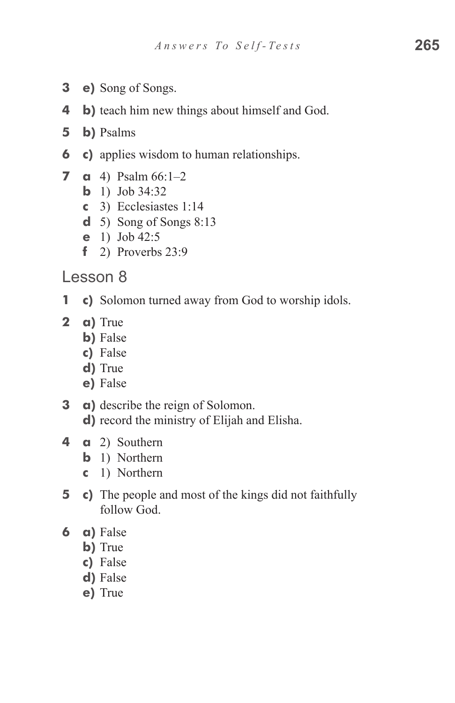- **3 e)** Song of Songs.
- **4 b**) teach him new things about himself and God.
- **5 b)** Psalms
- **6 c)** applies wisdom to human relationships.
- **7 a** 4) Psalm  $66:1-2$ 
	- **b** 1) Job  $34:32$
	- **c**  3) Ecclesiastes 1:14
	- **d**  5) Song of Songs 8:13
	- **e**  1) Job 42:5
	- **f**  2) Proverbs 23:9
- Lesson 8
- **1 c)** Solomon turned away from God to worship idols.
- **2 a)** True
	- **b**) False
	- **c)**  False
	- d) True
	- **e)** False
- **3 a**) describe the reign of Solomon. **d**) record the ministry of Elijah and Elisha.
- **4 a** 2) Southern
	- **b** 1) Northern
	- **c**  1) Northern
- **5** c) The people and most of the kings did not faithfully follow God.
- **6 a)** False
	- **b**) True
	- **c)**  False
	- d) False
	- **e)** True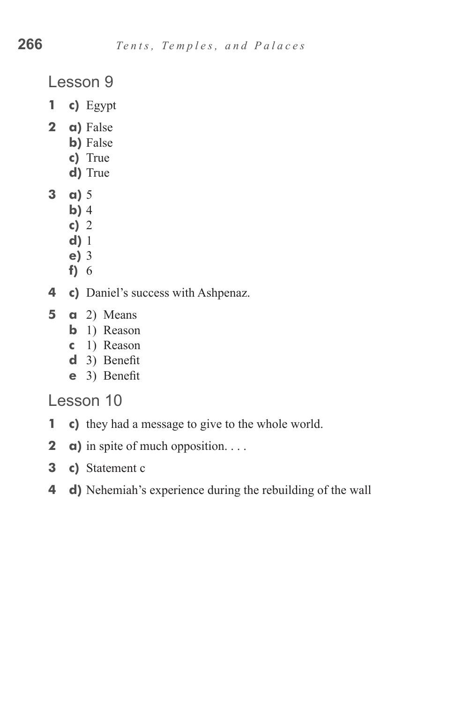Lesson 9

- **1 c)** Egypt
- **2 a)** False
	- **b**) False
	- **c)**  True
	- d) True
- **3 a)** 5
	- **b**) 4
	- **c)**  2
	- **d)** 1
	- **e)** 3
	- f) 6
- **4 c)** Daniel's success with Ashpenaz.
- **5 a** 2) Means
	- **b** 1) Reason
	- **c**  1) Reason
	- **d**  3) Benefit
	- **e**  3) Benefit

- **1** c) they had a message to give to the whole world.
- **2 a**) in spite of much opposition. . . .
- **3 c)** Statement c
- **4 d)** Nehemiah's experience during the rebuilding of the wall